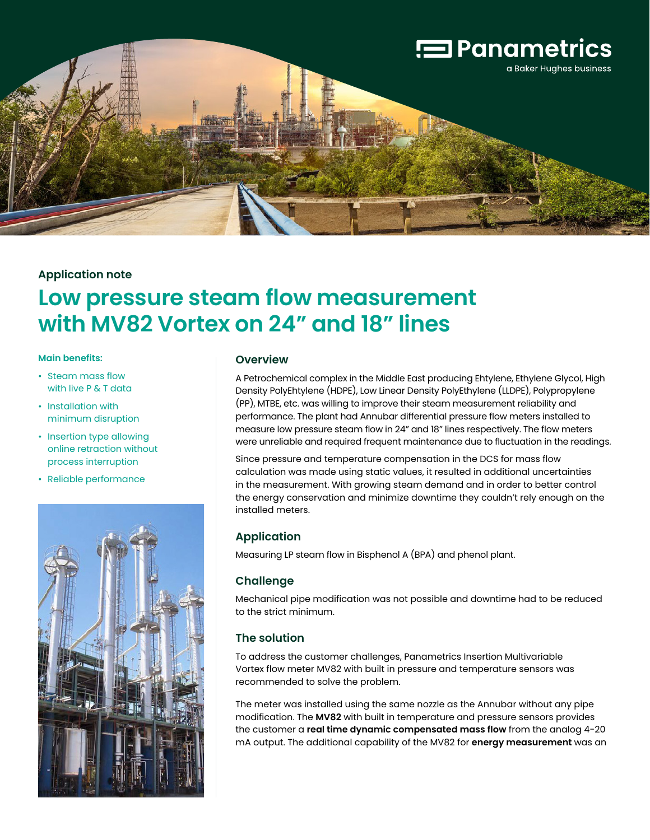

# **Application note**

# **Low pressure steam flow measurement with MV82 Vortex on 24" and 18" lines**

#### **Main benefits:**

- Steam mass flow with live P & T data
- Installation with minimum disruption
- Insertion type allowing online retraction without process interruption
- Reliable performance



#### **Overview**

A Petrochemical complex in the Middle East producing Ehtylene, Ethylene Glycol, High Density PolyEhtylene (HDPE), Low Linear Density PolyEthylene (LLDPE), Polypropylene (PP), MTBE, etc. was willing to improve their steam measurement reliability and performance. The plant had Annubar differential pressure flow meters installed to measure low pressure steam flow in 24" and 18" lines respectively. The flow meters were unreliable and required frequent maintenance due to fluctuation in the readings.

Since pressure and temperature compensation in the DCS for mass flow calculation was made using static values, it resulted in additional uncertainties in the measurement. With growing steam demand and in order to better control the energy conservation and minimize downtime they couldn't rely enough on the installed meters.

# **Application**

Measuring LP steam flow in Bisphenol A (BPA) and phenol plant.

## **Challenge**

Mechanical pipe modification was not possible and downtime had to be reduced to the strict minimum.

## **The solution**

To address the customer challenges, Panametrics Insertion Multivariable Vortex flow meter MV82 with built in pressure and temperature sensors was recommended to solve the problem.

The meter was installed using the same nozzle as the Annubar without any pipe modification. The **MV82** with built in temperature and pressure sensors provides the customer a **real time dynamic compensated mass flow** from the analog 4-20 mA output. The additional capability of the MV82 for **energy measurement** was an